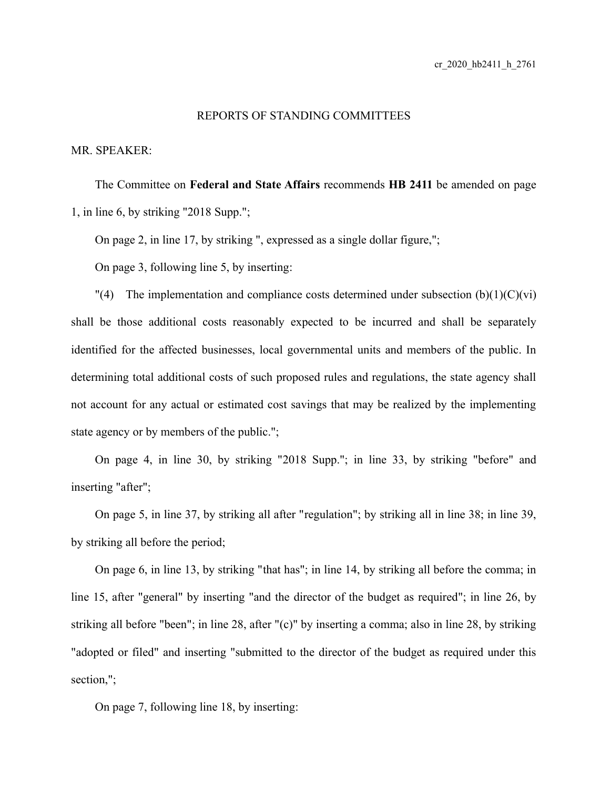## REPORTS OF STANDING COMMITTEES

MR. SPEAKER:

The Committee on **Federal and State Affairs** recommends **HB 2411** be amended on page 1, in line 6, by striking "2018 Supp.";

On page 2, in line 17, by striking ", expressed as a single dollar figure,";

On page 3, following line 5, by inserting:

 $\Gamma(4)$  The implementation and compliance costs determined under subsection (b)(1)(C)(vi) shall be those additional costs reasonably expected to be incurred and shall be separately identified for the affected businesses, local governmental units and members of the public. In determining total additional costs of such proposed rules and regulations, the state agency shall not account for any actual or estimated cost savings that may be realized by the implementing state agency or by members of the public.";

On page 4, in line 30, by striking "2018 Supp."; in line 33, by striking "before" and inserting "after";

On page 5, in line 37, by striking all after "regulation"; by striking all in line 38; in line 39, by striking all before the period;

On page 6, in line 13, by striking "that has"; in line 14, by striking all before the comma; in line 15, after "general" by inserting "and the director of the budget as required"; in line 26, by striking all before "been"; in line 28, after "(c)" by inserting a comma; also in line 28, by striking "adopted or filed" and inserting "submitted to the director of the budget as required under this section,";

On page 7, following line 18, by inserting: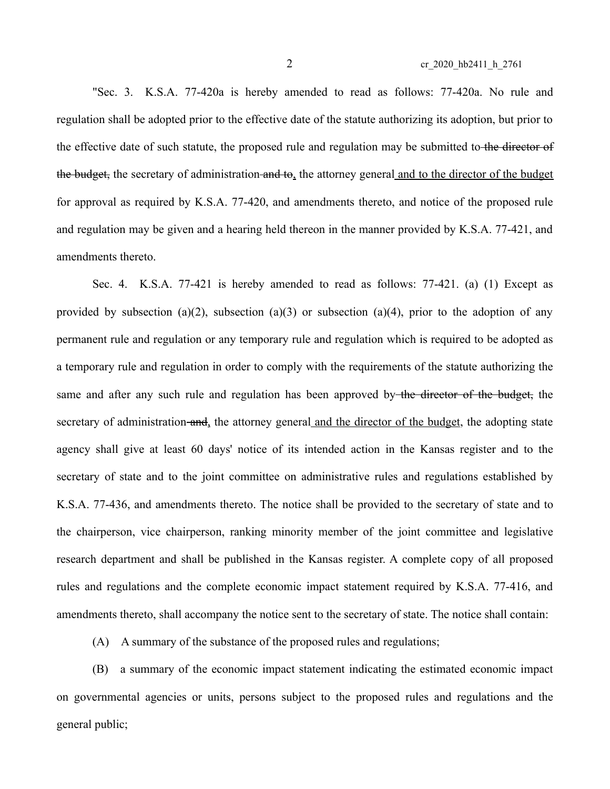"Sec. 3. K.S.A. 77-420a is hereby amended to read as follows: 77-420a. No rule and regulation shall be adopted prior to the effective date of the statute authorizing its adoption, but prior to the effective date of such statute, the proposed rule and regulation may be submitted to the director of the budget, the secretary of administration and to, the attorney general and to the director of the budget for approval as required by K.S.A. 77-420, and amendments thereto, and notice of the proposed rule and regulation may be given and a hearing held thereon in the manner provided by K.S.A. 77-421, and amendments thereto.

Sec. 4. K.S.A. 77-421 is hereby amended to read as follows: 77-421. (a) (1) Except as provided by subsection (a)(2), subsection (a)(3) or subsection (a)(4), prior to the adoption of any permanent rule and regulation or any temporary rule and regulation which is required to be adopted as a temporary rule and regulation in order to comply with the requirements of the statute authorizing the same and after any such rule and regulation has been approved by the director of the budget, the secretary of administration and, the attorney general and the director of the budget, the adopting state agency shall give at least 60 days' notice of its intended action in the Kansas register and to the secretary of state and to the joint committee on administrative rules and regulations established by K.S.A. 77-436, and amendments thereto. The notice shall be provided to the secretary of state and to the chairperson, vice chairperson, ranking minority member of the joint committee and legislative research department and shall be published in the Kansas register. A complete copy of all proposed rules and regulations and the complete economic impact statement required by K.S.A. 77-416, and amendments thereto, shall accompany the notice sent to the secretary of state. The notice shall contain:

(A) A summary of the substance of the proposed rules and regulations;

(B) a summary of the economic impact statement indicating the estimated economic impact on governmental agencies or units, persons subject to the proposed rules and regulations and the general public;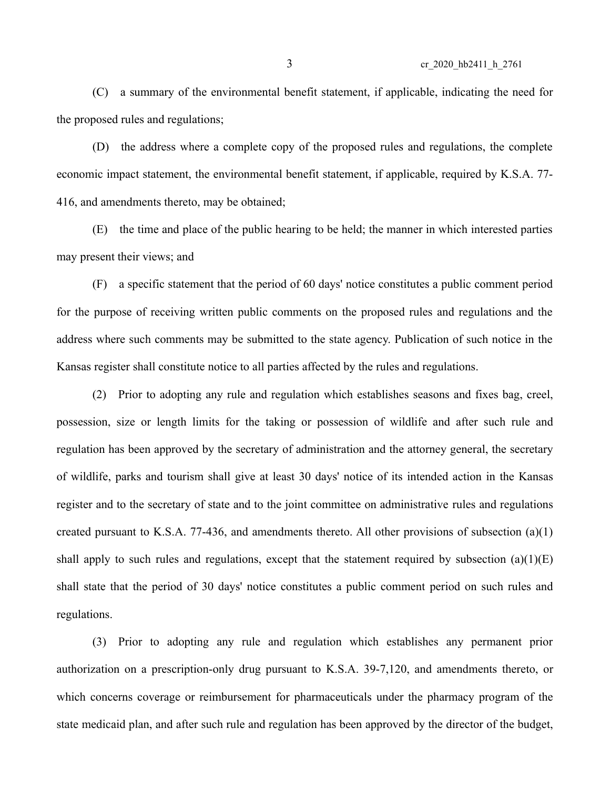(C) a summary of the environmental benefit statement, if applicable, indicating the need for the proposed rules and regulations;

(D) the address where a complete copy of the proposed rules and regulations, the complete economic impact statement, the environmental benefit statement, if applicable, required by K.S.A. 77- 416, and amendments thereto, may be obtained;

(E) the time and place of the public hearing to be held; the manner in which interested parties may present their views; and

(F) a specific statement that the period of 60 days' notice constitutes a public comment period for the purpose of receiving written public comments on the proposed rules and regulations and the address where such comments may be submitted to the state agency. Publication of such notice in the Kansas register shall constitute notice to all parties affected by the rules and regulations.

(2) Prior to adopting any rule and regulation which establishes seasons and fixes bag, creel, possession, size or length limits for the taking or possession of wildlife and after such rule and regulation has been approved by the secretary of administration and the attorney general, the secretary of wildlife, parks and tourism shall give at least 30 days' notice of its intended action in the Kansas register and to the secretary of state and to the joint committee on administrative rules and regulations created pursuant to K.S.A. 77-436, and amendments thereto. All other provisions of subsection (a)(1) shall apply to such rules and regulations, except that the statement required by subsection  $(a)(1)(E)$ shall state that the period of 30 days' notice constitutes a public comment period on such rules and regulations.

(3) Prior to adopting any rule and regulation which establishes any permanent prior authorization on a prescription-only drug pursuant to K.S.A. 39-7,120, and amendments thereto, or which concerns coverage or reimbursement for pharmaceuticals under the pharmacy program of the state medicaid plan, and after such rule and regulation has been approved by the director of the budget,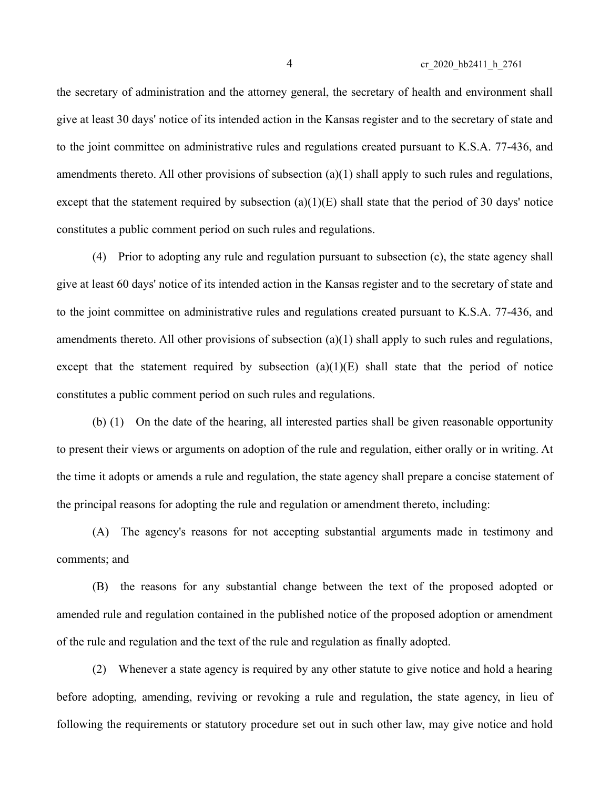4 cr\_2020\_hb2411\_h\_2761

the secretary of administration and the attorney general, the secretary of health and environment shall give at least 30 days' notice of its intended action in the Kansas register and to the secretary of state and to the joint committee on administrative rules and regulations created pursuant to K.S.A. 77-436, and amendments thereto. All other provisions of subsection (a)(1) shall apply to such rules and regulations, except that the statement required by subsection  $(a)(1)(E)$  shall state that the period of 30 days' notice constitutes a public comment period on such rules and regulations.

(4) Prior to adopting any rule and regulation pursuant to subsection (c), the state agency shall give at least 60 days' notice of its intended action in the Kansas register and to the secretary of state and to the joint committee on administrative rules and regulations created pursuant to K.S.A. 77-436, and amendments thereto. All other provisions of subsection (a)(1) shall apply to such rules and regulations, except that the statement required by subsection  $(a)(1)(E)$  shall state that the period of notice constitutes a public comment period on such rules and regulations.

(b) (1) On the date of the hearing, all interested parties shall be given reasonable opportunity to present their views or arguments on adoption of the rule and regulation, either orally or in writing. At the time it adopts or amends a rule and regulation, the state agency shall prepare a concise statement of the principal reasons for adopting the rule and regulation or amendment thereto, including:

(A) The agency's reasons for not accepting substantial arguments made in testimony and comments; and

(B) the reasons for any substantial change between the text of the proposed adopted or amended rule and regulation contained in the published notice of the proposed adoption or amendment of the rule and regulation and the text of the rule and regulation as finally adopted.

(2) Whenever a state agency is required by any other statute to give notice and hold a hearing before adopting, amending, reviving or revoking a rule and regulation, the state agency, in lieu of following the requirements or statutory procedure set out in such other law, may give notice and hold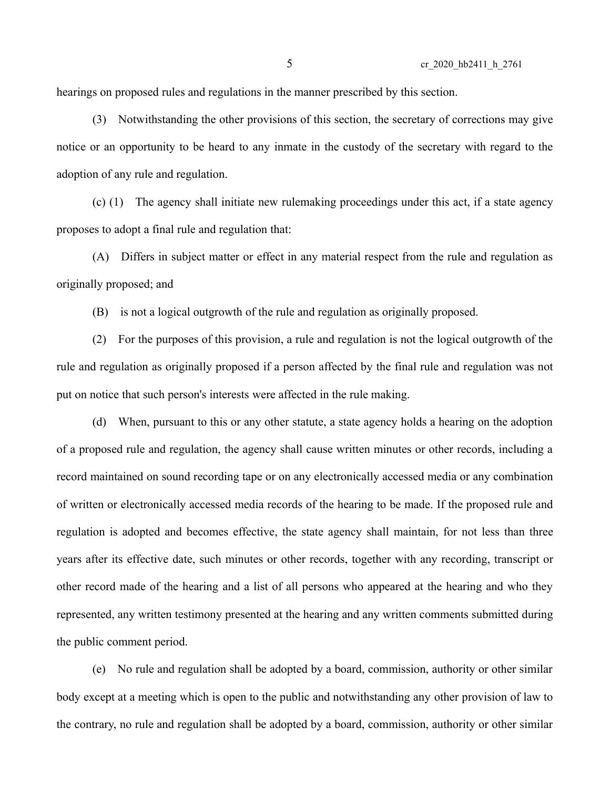hearings on proposed rules and regulations in the manner prescribed by this section.

(3) Notwithstanding the other provisions of this section, the secretary of corrections may give notice or an opportunity to be heard to any inmate in the custody of the secretary with regard to the adoption of any rule and regulation.

(c) (1) The agency shall initiate new rulemaking proceedings under this act, if a state agency proposes to adopt a final rule and regulation that:

(A) Differs in subject matter or effect in any material respect from the rule and regulation as originally proposed; and

(B) is not a logical outgrowth of the rule and regulation as originally proposed.

(2) For the purposes of this provision, a rule and regulation is not the logical outgrowth of the rule and regulation as originally proposed if a person affected by the final rule and regulation was not put on notice that such person's interests were affected in the rule making.

(d) When, pursuant to this or any other statute, a state agency holds a hearing on the adoption of a proposed rule and regulation, the agency shall cause written minutes or other records, including a record maintained on sound recording tape or on any electronically accessed media or any combination of written or electronically accessed media records of the hearing to be made. If the proposed rule and regulation is adopted and becomes effective, the state agency shall maintain, for not less than three years after its effective date, such minutes or other records, together with any recording, transcript or other record made of the hearing and a list of all persons who appeared at the hearing and who they represented, any written testimony presented at the hearing and any written comments submitted during the public comment period.

(e) No rule and regulation shall be adopted by a board, commission, authority or other similar body except at a meeting which is open to the public and notwithstanding any other provision of law to the contrary, no rule and regulation shall be adopted by a board, commission, authority or other similar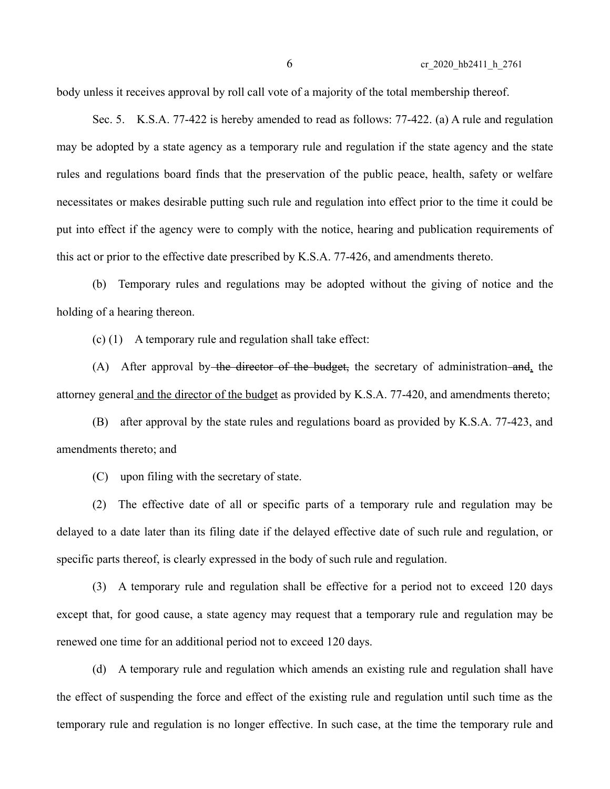body unless it receives approval by roll call vote of a majority of the total membership thereof.

Sec. 5. K.S.A. 77-422 is hereby amended to read as follows: 77-422. (a) A rule and regulation may be adopted by a state agency as a temporary rule and regulation if the state agency and the state rules and regulations board finds that the preservation of the public peace, health, safety or welfare necessitates or makes desirable putting such rule and regulation into effect prior to the time it could be put into effect if the agency were to comply with the notice, hearing and publication requirements of this act or prior to the effective date prescribed by K.S.A. 77-426, and amendments thereto.

(b) Temporary rules and regulations may be adopted without the giving of notice and the holding of a hearing thereon.

(c) (1) A temporary rule and regulation shall take effect:

(A) After approval by the director of the budget, the secretary of administration and, the attorney general and the director of the budget as provided by K.S.A. 77-420, and amendments thereto;

(B) after approval by the state rules and regulations board as provided by K.S.A. 77-423, and amendments thereto; and

(C) upon filing with the secretary of state.

(2) The effective date of all or specific parts of a temporary rule and regulation may be delayed to a date later than its filing date if the delayed effective date of such rule and regulation, or specific parts thereof, is clearly expressed in the body of such rule and regulation.

(3) A temporary rule and regulation shall be effective for a period not to exceed 120 days except that, for good cause, a state agency may request that a temporary rule and regulation may be renewed one time for an additional period not to exceed 120 days.

(d) A temporary rule and regulation which amends an existing rule and regulation shall have the effect of suspending the force and effect of the existing rule and regulation until such time as the temporary rule and regulation is no longer effective. In such case, at the time the temporary rule and